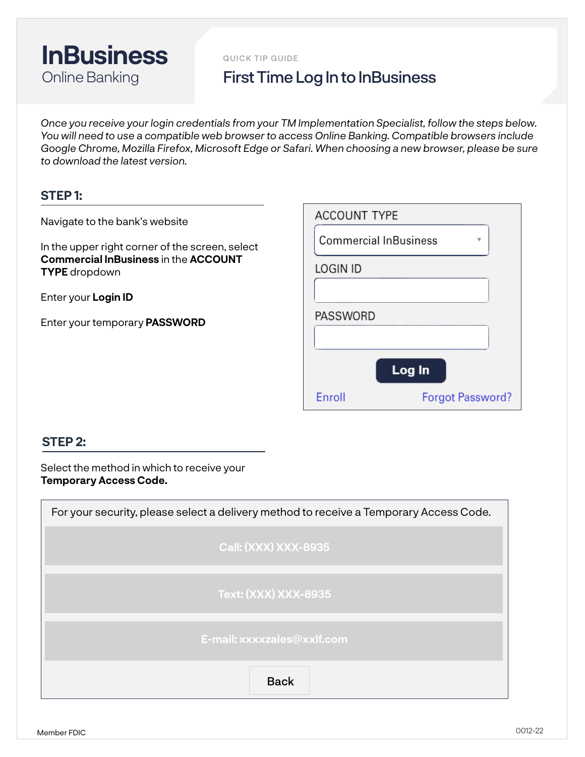

QUICK TIP GUIDE

## First Time Log In to InBusiness

*Once you receive your login credentials from your TM Implementation Specialist, follow the steps below. You will need to use a compatible web browser to access Online Banking. Compatible browsers include Google Chrome, Mozilla Firefox, Microsoft Edge or Safari. When choosing a new browser, please be sure to download the latest version.*

## **STEP 1:**

Navigate to the bank's website

In the upper right corner of the screen, select **Commercial InBusiness** in the **ACCOUNT TYPE** dropdown

Enter your **Login ID**

Enter your temporary **PASSWORD**

| <b>ACCOUNT TYPE</b>          |                         |  |  |  |
|------------------------------|-------------------------|--|--|--|
| <b>Commercial InBusiness</b> |                         |  |  |  |
| <b>LOGIN ID</b>              |                         |  |  |  |
|                              |                         |  |  |  |
| PASSWORD                     |                         |  |  |  |
|                              |                         |  |  |  |
|                              | Log In                  |  |  |  |
| Enroll                       | <b>Forgot Password?</b> |  |  |  |

## **STEP 2:**

Select the method in which to receive your **Temporary Access Code.**

| For your security, please select a delivery method to receive a Temporary Access Code. |  |  |  |  |
|----------------------------------------------------------------------------------------|--|--|--|--|
| <b>Call: (XXX) XXX-8935</b>                                                            |  |  |  |  |
| <b>Text: (XXX) XXX-8935</b>                                                            |  |  |  |  |
| E-mail: xxxxzales@xxlf.com                                                             |  |  |  |  |
| <b>Back</b>                                                                            |  |  |  |  |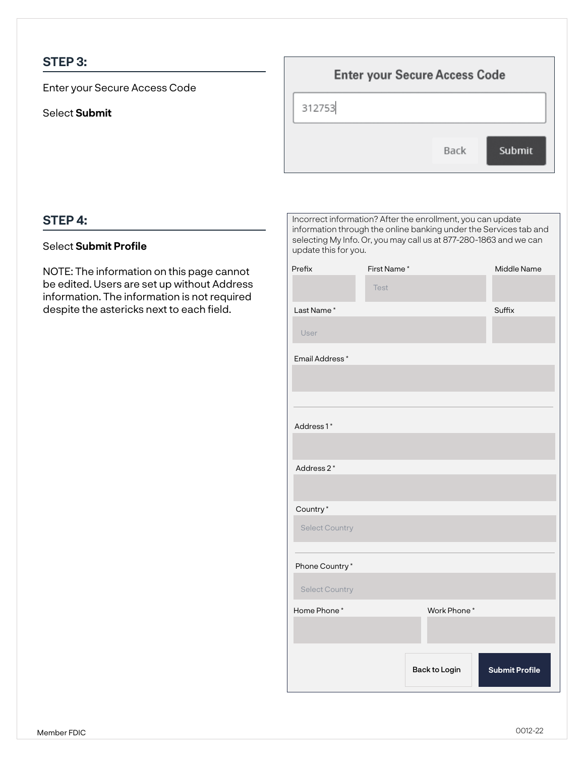## **STEP 3:**

Enter your Secure Access Code

Select **Submit**

| <b>Enter your Secure Access Code</b> |      |        |  |  |
|--------------------------------------|------|--------|--|--|
| 312753                               |      |        |  |  |
|                                      | Back | Submit |  |  |

## **STEP 4:**

#### Select **Submit Profile**

NOTE: The information on this page cannot be edited. Users are set up without Address information. The information is not required despite the astericks next to each field.

| Incorrect information? After the enrollment, you can update<br>information through the online banking under the Services tab and<br>selecting My Info. Or, you may call us at 877-280-1863 and we can<br>update this for you. |             |               |                       |  |
|-------------------------------------------------------------------------------------------------------------------------------------------------------------------------------------------------------------------------------|-------------|---------------|-----------------------|--|
| Prefix                                                                                                                                                                                                                        | First Name* |               |                       |  |
|                                                                                                                                                                                                                               | <b>Test</b> |               |                       |  |
| Last Name*                                                                                                                                                                                                                    |             |               | Suffix                |  |
| User                                                                                                                                                                                                                          |             |               |                       |  |
| Email Address*                                                                                                                                                                                                                |             |               |                       |  |
|                                                                                                                                                                                                                               |             |               |                       |  |
|                                                                                                                                                                                                                               |             |               |                       |  |
| Address1*                                                                                                                                                                                                                     |             |               |                       |  |
|                                                                                                                                                                                                                               |             |               |                       |  |
| Address 2*                                                                                                                                                                                                                    |             |               |                       |  |
|                                                                                                                                                                                                                               |             |               |                       |  |
| Country*                                                                                                                                                                                                                      |             |               |                       |  |
| <b>Select Country</b>                                                                                                                                                                                                         |             |               |                       |  |
|                                                                                                                                                                                                                               |             |               |                       |  |
| Phone Country*                                                                                                                                                                                                                |             |               |                       |  |
| <b>Select Country</b>                                                                                                                                                                                                         |             |               |                       |  |
| Home Phone*                                                                                                                                                                                                                   |             | Work Phone*   |                       |  |
|                                                                                                                                                                                                                               |             | Back to Login | <b>Submit Profile</b> |  |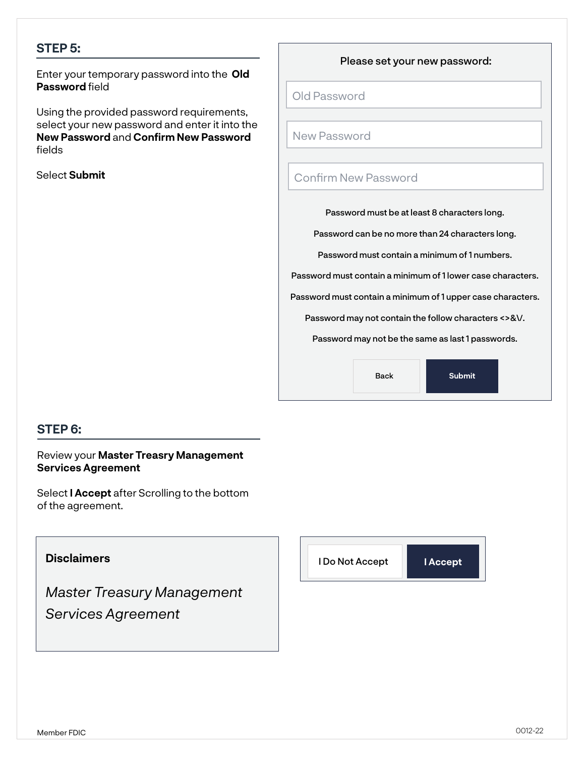## **STEP 5:**

**Password** field Enter your temporary password into the **Old** 

Using the provided password requirements, select your new password and enter it into the **New Password** and **Confirm New Password**  fields

Select **Submit**

Please set your new password:

Old Password

New Password

### Confirm New Password

Password must be at least 8 characters long.

Password can be no more than 24 characters long.

Password must contain a minimum of 1 numbers.

Password must contain a minimum of 1 lower case characters.

Password must contain a minimum of 1 upper case characters.

Password may not contain the follow characters <>&\/.

Password may not be the same as last 1 passwords.

Back **Submit**

## **STEP 6:**

Review your **Master Treasry Management Services Agreement**

Select **I Accept** after Scrolling to the bottom of the agreement.

# **Disclaimers** *Master Treasury Management Services Agreement* I Do Not Accept **I Accept**